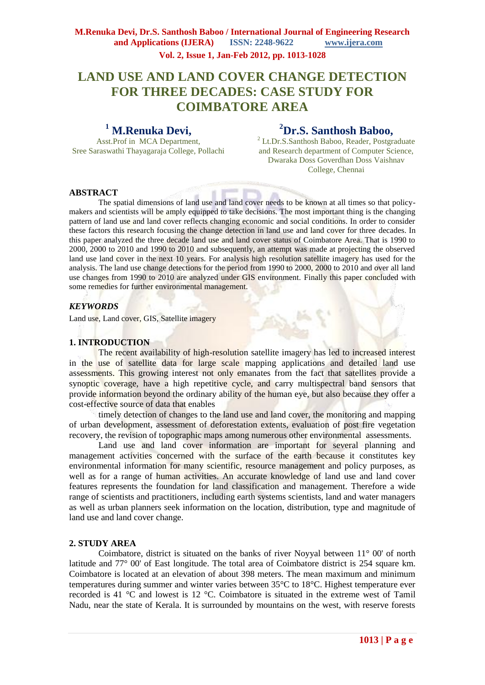# **LAND USE AND LAND COVER CHANGE DETECTION FOR THREE DECADES: CASE STUDY FOR COIMBATORE AREA**

# **<sup>1</sup> M.Renuka Devi,**

**<sup>2</sup>Dr.S. Santhosh Baboo,**

Asst.Prof in MCA Department, Sree Saraswathi Thayagaraja College, Pollachi <sup>2</sup> Lt.Dr.S.Santhosh Baboo, Reader, Postgraduate and Research department of Computer Science, Dwaraka Doss Goverdhan Doss Vaishnav College, Chennai

## **ABSTRACT**

The spatial dimensions of land use and land cover needs to be known at all times so that policymakers and scientists will be amply equipped to take decisions. The most important thing is the changing pattern of land use and land cover reflects changing economic and social conditions. In order to consider these factors this research focusing the change detection in land use and land cover for three decades. In this paper analyzed the three decade land use and land cover status of Coimbatore Area. That is 1990 to 2000, 2000 to 2010 and 1990 to 2010 and subsequently, an attempt was made at projecting the observed land use land cover in the next 10 years. For analysis high resolution satellite imagery has used for the analysis. The land use change detections for the period from 1990 to 2000, 2000 to 2010 and over all land use changes from 1990 to 2010 are analyzed under GIS environment. Finally this paper concluded with some remedies for further environmental management.

## *KEYWORDS*

Land use, Land cover, GIS, Satellite imagery

#### **1. INTRODUCTION**

The recent availability of high-resolution satellite imagery has led to increased interest in the use of satellite data for large scale mapping applications and detailed land use assessments. This growing interest not only emanates from the fact that satellites provide a synoptic coverage, have a high repetitive cycle, and carry multispectral band sensors that provide information beyond the ordinary ability of the human eye, but also because they offer a cost-effective source of data that enables

timely detection of changes to the land use and land cover, the monitoring and mapping of urban development, assessment of deforestation extents, evaluation of post fire vegetation recovery, the revision of topographic maps among numerous other environmental assessments.

Land use and land cover information are important for several planning and management activities concerned with the surface of the earth because it constitutes key environmental information for many scientific, resource management and policy purposes, as well as for a range of human activities. An accurate knowledge of land use and land cover features represents the foundation for land classification and management. Therefore a wide range of scientists and practitioners, including earth systems scientists, land and water managers as well as urban planners seek information on the location, distribution, type and magnitude of land use and land cover change.

#### **2. STUDY AREA**

Coimbatore, district is situated on the banks of river Noyyal between 11° 00' of north latitude and 77° 00' of East longitude. The total area of Coimbatore district is 254 square km. Coimbatore is located at an elevation of about 398 meters. The mean maximum and minimum temperatures during summer and winter varies between 35°C to 18°C. Highest temperature ever recorded is 41 °C and lowest is 12 °C. Coimbatore is situated in the extreme west of Tamil Nadu, near the state of Kerala. It is surrounded by mountains on the west, with reserve forests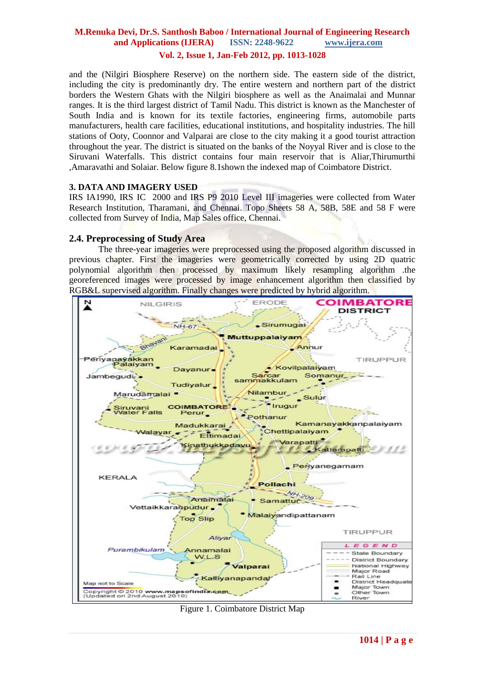#### **M.Renuka Devi, Dr.S. Santhosh Baboo / International Journal of Engineering Research and Applications (IJERA) ISSN: 2248-9622 www.ijera.com Vol. 2, Issue 1, Jan-Feb 2012, pp. 1013-1028**

and the (Nilgiri Biosphere Reserve) on the northern side. The eastern side of the district, including the city is predominantly dry. The entire western and northern part of the district borders the Western Ghats with the Nilgiri biosphere as well as the Anaimalai and Munnar ranges. It is the third largest district of Tamil Nadu. This district is known as the Manchester of South India and is known for its textile factories, engineering firms, automobile parts manufacturers, health care facilities, educational institutions, and hospitality industries. The hill stations of Ooty, Coonnor and Valparai are close to the city making it a good tourist attraction throughout the year. The district is situated on the banks of the Noyyal River and is close to the Siruvani Waterfalls. This district contains four main reservoir that is Aliar,Thirumurthi ,Amaravathi and Solaiar. Below figure 8.1shown the indexed map of Coimbatore District.

#### **3. DATA AND IMAGERY USED**

IRS IA1990, IRS IC 2000 and IRS P9 2010 Level III imageries were collected from Water Research Institution, Tharamani, and Chennai. Topo Sheets 58 A, 58B, 58E and 58 F were collected from Survey of India, Map Sales office, Chennai.

#### **2.4. Preprocessing of Study Area**

The three-year imageries were preprocessed using the proposed algorithm discussed in previous chapter. First the imageries were geometrically corrected by using 2D quatric polynomial algorithm then processed by maximum likely resampling algorithm .the georeferenced images were processed by image enhancement algorithm then classified by RGB&L supervised algorithm. Finally changes were predicted by hybrid algorithm.



Figure 1. Coimbatore District Map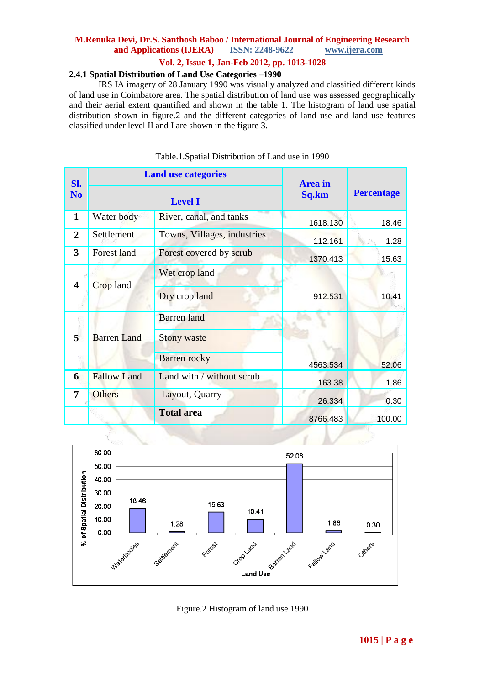# **M.Renuka Devi, Dr.S. Santhosh Baboo / International Journal of Engineering Research**  and **Applications** (**IJERA**)

#### **Vol. 2, Issue 1, Jan-Feb 2012, pp. 1013-1028**

#### **2.4.1 Spatial Distribution of Land Use Categories –1990**

IRS IA imagery of 28 January 1990 was visually analyzed and classified different kinds of land use in Coimbatore area. The spatial distribution of land use was assessed geographically and their aerial extent quantified and shown in the table 1. The histogram of land use spatial distribution shown in figure.2 and the different categories of land use and land use features classified under level II and I are shown in the figure 3.

| Sl.                     | <b>Land use categories</b>                           |                             | <b>Area</b> in |                   |  |
|-------------------------|------------------------------------------------------|-----------------------------|----------------|-------------------|--|
| N <sub>0</sub>          | <b>Level I</b>                                       |                             | Sq.km          | <b>Percentage</b> |  |
| $\mathbf{1}$            | Water body                                           | River, canal, and tanks     | 1618.130       | 18.46             |  |
| $\overline{2}$          | Settlement                                           | Towns, Villages, industries | 112.161        | 1.28              |  |
| $\overline{\mathbf{3}}$ | Forest land<br>Forest covered by scrub               |                             | 1370.413       | 15.63             |  |
|                         | Crop land                                            | Wet crop land               |                |                   |  |
| 4                       |                                                      | Dry crop land               | 912.531        | 10.41             |  |
|                         |                                                      | <b>Barren</b> land          |                | 52.06             |  |
| 5                       | <b>Barren Land</b>                                   | <b>Stony waste</b>          |                |                   |  |
|                         |                                                      | <b>Barren</b> rocky         | 4563.534       |                   |  |
| 6                       | <b>Fallow Land</b>                                   | Land with / without scrub   | 163.38         | 1.86              |  |
| 7                       | <b>Others</b><br>Layout, Quarry<br><b>Total area</b> |                             | 26.334         | 0.30              |  |
|                         |                                                      |                             | 8766.483       | 100.00            |  |

#### Table.1.Spatial Distribution of Land use in 1990



Figure.2 Histogram of land use 1990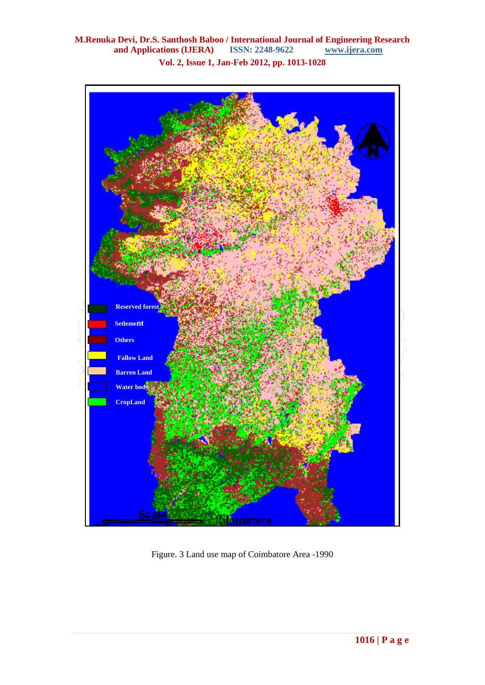**M.Renuka Devi, Dr.S. Santhosh Baboo / International Journal of Engineering Research and Applications (IJERA)** ISSN: 2248-9622 **Vol. 2, Issue 1, Jan-Feb 2012, pp. 1013-1028**



Figure. 3 Land use map of Coimbatore Area -1990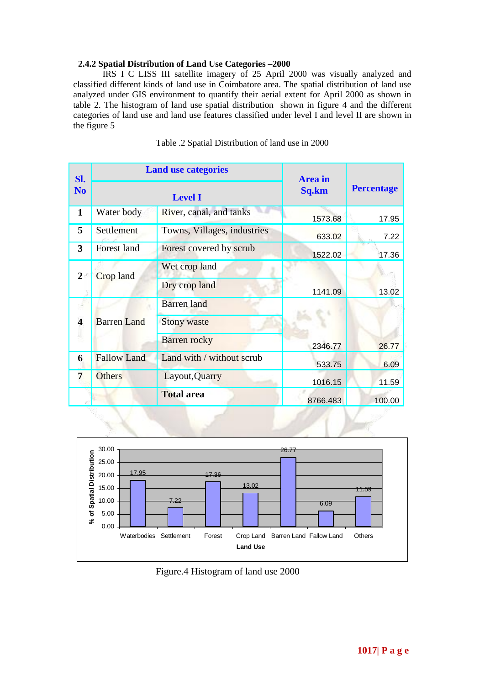#### **2.4.2 Spatial Distribution of Land Use Categories –2000**

 IRS I C LISS III satellite imagery of 25 April 2000 was visually analyzed and classified different kinds of land use in Coimbatore area. The spatial distribution of land use analyzed under GIS environment to quantify their aerial extent for April 2000 as shown in table 2. The histogram of land use spatial distribution shown in figure 4 and the different categories of land use and land use features classified under level I and level II are shown in the figure 5

| Sl.                     | <b>Land use categories</b> |                             | <b>Area</b> in |                   |  |
|-------------------------|----------------------------|-----------------------------|----------------|-------------------|--|
| N <sub>o</sub>          |                            | <b>Level I</b>              | Sq.km          | <b>Percentage</b> |  |
| $\mathbf{1}$            | Water body                 | River, canal, and tanks     | 1573.68        | 17.95             |  |
| 5                       | Settlement                 | Towns, Villages, industries | 633.02         | 7.22              |  |
| 3                       | <b>Forest land</b>         | Forest covered by scrub     | 1522.02        | 17.36             |  |
| $\overline{2}$          | <b>Crop</b> land           | Wet crop land               |                |                   |  |
|                         |                            | Dry crop land               | 1141.09        | 13.02             |  |
|                         | <b>Barren</b> Land         | <b>Barren</b> land          |                |                   |  |
| $\overline{\mathbf{4}}$ |                            | <b>Stony waste</b>          |                |                   |  |
|                         |                            | <b>Barren rocky</b>         | 2346.77        | 26.77             |  |
| 6                       | <b>Fallow Land</b>         | Land with / without scrub   | 533.75         | 6.09              |  |
| 7                       | <b>Others</b>              | Layout, Quarry              | 1016.15        | 11.59             |  |
|                         |                            | <b>Total area</b>           | 8766.483       | 100.00            |  |

Table .2 Spatial Distribution of land use in 2000



Figure.4 Histogram of land use 2000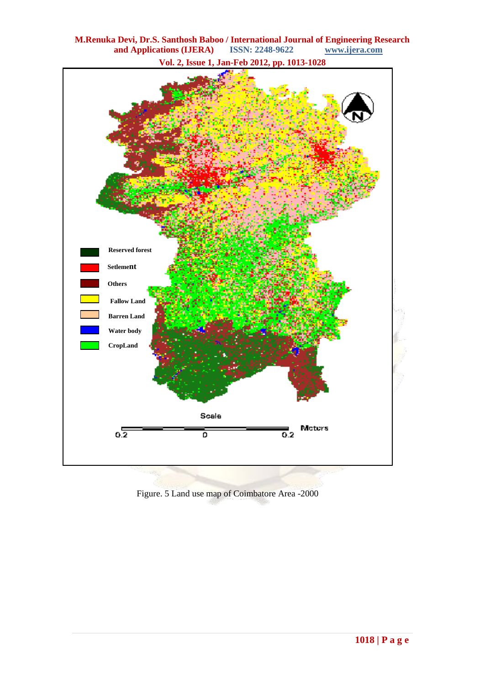

**M.Renuka Devi, Dr.S. Santhosh Baboo / International Journal of Engineering Research**  and Applications (IJERA)

Figure. 5 Land use map of Coimbatore Area -2000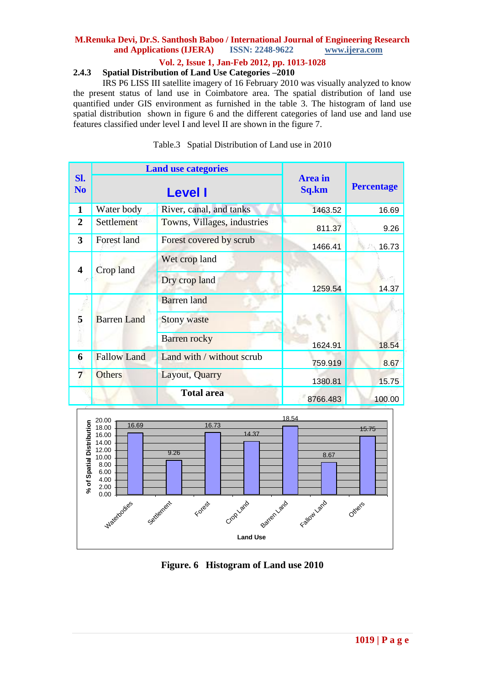# **M.Renuka Devi, Dr.S. Santhosh Baboo / International Journal of Engineering Research**  and **Applications** (**IJERA**)

## **Vol. 2, Issue 1, Jan-Feb 2012, pp. 1013-1028**

#### **2.4.3 Spatial Distribution of Land Use Categories –2010**

IRS P6 LISS III satellite imagery of 16 February 2010 was visually analyzed to know the present status of land use in Coimbatore area. The spatial distribution of land use quantified under GIS environment as furnished in the table 3. The histogram of land use spatial distribution shown in figure 6 and the different categories of land use and land use features classified under level I and level II are shown in the figure 7.

|                         |                                 | <b>Land use categories</b>                                      |                         | <b>Percentage</b> |  |
|-------------------------|---------------------------------|-----------------------------------------------------------------|-------------------------|-------------------|--|
| Sl.<br>N <sub>o</sub>   |                                 | <b>Level I</b>                                                  | <b>Area</b> in<br>Sq.km |                   |  |
| $\mathbf{1}$            | Water body                      | River, canal, and tanks                                         | 1463.52                 | 16.69             |  |
| $\overline{2}$          | Settlement                      | Towns, Villages, industries                                     | 811.37                  | 9.26              |  |
| $\overline{\mathbf{3}}$ | <b>Forest land</b>              | Forest covered by scrub                                         | 1466.41                 | 16.73             |  |
| 4                       | Crop land                       | Wet crop land<br>Dry crop land                                  | 1259.54                 | 14.37             |  |
| 5                       | <b>Barren</b> Land              | <b>Barren</b> land<br><b>Stony waste</b><br><b>Barren</b> rocky | 1624.91                 | 18.54             |  |
| 6                       | <b>Fallow Land</b>              | Land with / without scrub                                       | 759.919                 | 8.67              |  |
| 7                       | <b>Others</b><br>Layout, Quarry |                                                                 | 1380.81                 | 15.75             |  |
|                         | <b>Total area</b>               |                                                                 | 8766.483                | 100.00            |  |

Table.3 Spatial Distribution of Land use in 2010



**Figure. 6 Histogram of Land use 2010**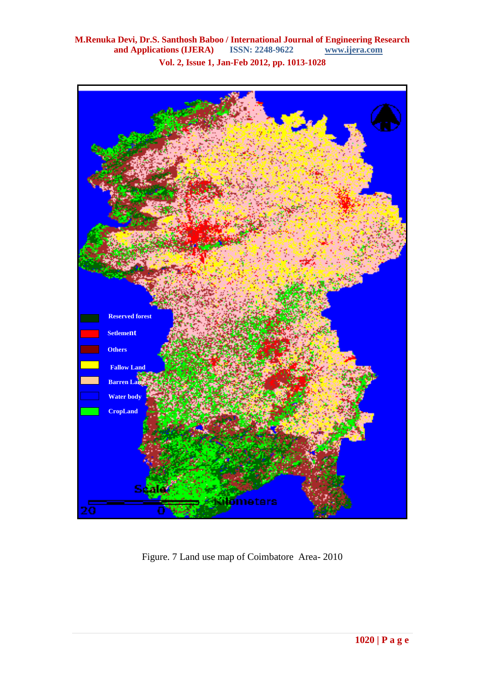

Figure. 7 Land use map of Coimbatore Area- 2010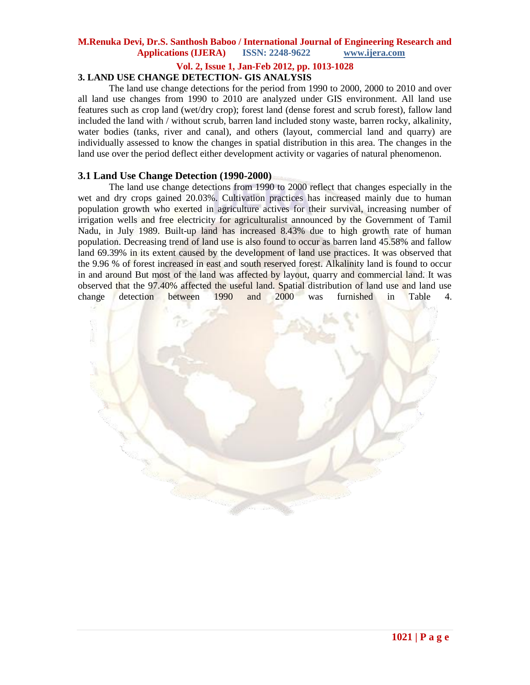#### **Vol. 2, Issue 1, Jan-Feb 2012, pp. 1013-1028**

## **3. LAND USE CHANGE DETECTION- GIS ANALYSIS**

The land use change detections for the period from 1990 to 2000, 2000 to 2010 and over all land use changes from 1990 to 2010 are analyzed under GIS environment. All land use features such as crop land (wet/dry crop); forest land (dense forest and scrub forest), fallow land included the land with / without scrub, barren land included stony waste, barren rocky, alkalinity, water bodies (tanks, river and canal), and others (layout, commercial land and quarry) are individually assessed to know the changes in spatial distribution in this area. The changes in the land use over the period deflect either development activity or vagaries of natural phenomenon.

#### **3.1 Land Use Change Detection (1990-2000)**

The land use change detections from 1990 to 2000 reflect that changes especially in the wet and dry crops gained 20.03%. Cultivation practices has increased mainly due to human population growth who exerted in agriculture actives for their survival, increasing number of irrigation wells and free electricity for agriculturalist announced by the Government of Tamil Nadu, in July 1989. Built-up land has increased 8.43% due to high growth rate of human population. Decreasing trend of land use is also found to occur as barren land 45.58% and fallow land 69.39% in its extent caused by the development of land use practices. It was observed that the 9.96 % of forest increased in east and south reserved forest. Alkalinity land is found to occur in and around But most of the land was affected by layout, quarry and commercial land. It was observed that the 97.40% affected the useful land. Spatial distribution of land use and land use change detection between 1990 and 2000 was furnished in Table 4.

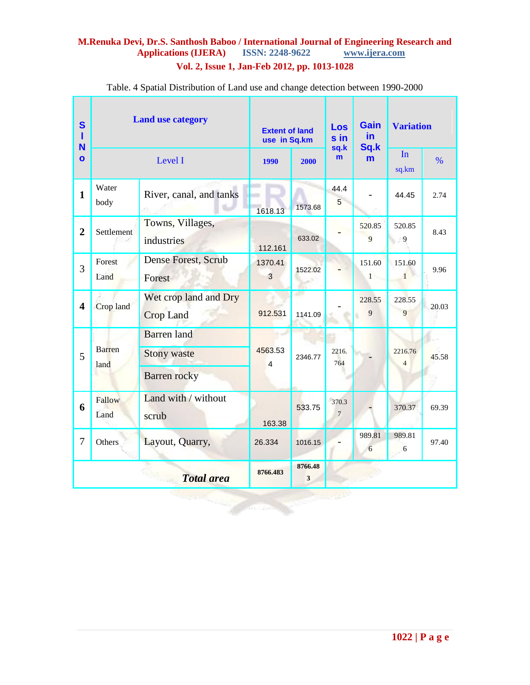# **M.Renuka Devi, Dr.S. Santhosh Baboo / International Journal of Engineering Research and**  Applications (**IJERA**) **Vol. 2, Issue 1, Jan-Feb 2012, pp. 1013-1028**

| S<br>п<br>N             | <b>Land use category</b> |                                                                 | <b>Extent of land</b><br>use in Sq.km |               | Los<br>sin<br>sq.k      | <b>Gain</b><br>in.<br>Sq.k | <b>Variation</b>          |       |
|-------------------------|--------------------------|-----------------------------------------------------------------|---------------------------------------|---------------|-------------------------|----------------------------|---------------------------|-------|
| $\mathbf{o}$            | Level I                  |                                                                 | 1990                                  | 2000          | m                       | m                          | In<br>sq.km               | $\%$  |
| $\mathbf{1}$            | Water<br>body            | River, canal, and tanks                                         | 1618.13                               | 1573.68       | 44.4<br>5               |                            | 44.45                     | 2.74  |
| $\overline{2}$          | Settlement               | Towns, Villages,<br>industries                                  | 112.161                               | 633.02        |                         | 520.85<br>9                | 520.85<br>$\overline{9}$  | 8.43  |
| $\overline{3}$          | Forest<br>Land           | Dense Forest, Scrub<br>Forest                                   | 1370.41<br>3                          | 1522.02       |                         | 151.60<br>$1 -$            | 151.60<br>$1 -$           | 9.96  |
| $\overline{\mathbf{4}}$ | Crop land                | Wet crop land and Dry<br><b>Crop Land</b>                       | 912.531                               | a,<br>1141.09 |                         | 228.55<br>9                | 228.55<br>9               | 20.03 |
| 5                       | <b>Barren</b><br>land    | <b>Barren</b> land<br><b>Stony waste</b><br><b>Barren rocky</b> | 4563.53<br>4                          | 2346.77       | 2216.<br>764            |                            | 2216.76<br>$\overline{4}$ | 45.58 |
| 6                       | Fallow<br>Land           | Land with / without<br>scrub                                    | 163.38                                | 533.75        | 370.3<br>$\overline{7}$ |                            | 370.37                    | 69.39 |
| $\overline{7}$          | Others                   | Layout, Quarry,                                                 | 26.334                                | 1016.15       |                         | 989.81<br>6                | 989.81<br>6               | 97.40 |
|                         |                          | <b>Total</b> area                                               | 8766.483                              | 8766.48<br>3  |                         |                            |                           |       |
|                         |                          |                                                                 |                                       |               |                         |                            |                           |       |

Table. 4 Spatial Distribution of Land use and change detection between 1990-2000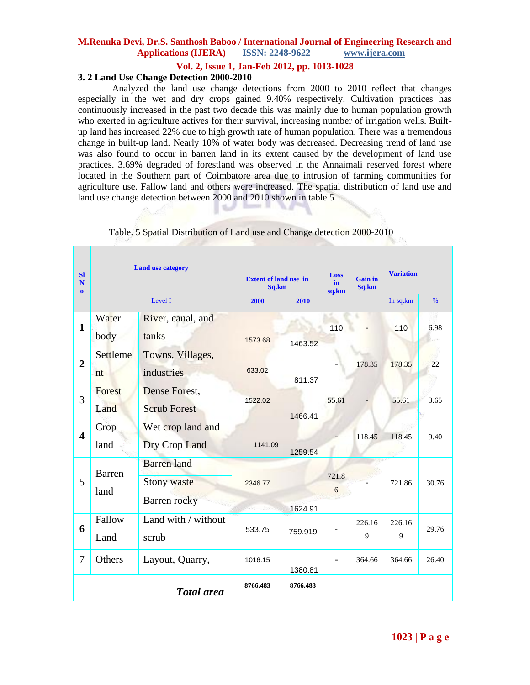#### **Vol. 2, Issue 1, Jan-Feb 2012, pp. 1013-1028**

## **3. 2 Land Use Change Detection 2000-2010**

Analyzed the land use change detections from 2000 to 2010 reflect that changes especially in the wet and dry crops gained 9.40% respectively. Cultivation practices has continuously increased in the past two decade this was mainly due to human population growth who exerted in agriculture actives for their survival, increasing number of irrigation wells. Builtup land has increased 22% due to high growth rate of human population. There was a tremendous change in built-up land. Nearly 10% of water body was decreased. Decreasing trend of land use was also found to occur in barren land in its extent caused by the development of land use practices. 3.69% degraded of forestland was observed in the Annaimali reserved forest where located in the Southern part of Coimbatore area due to intrusion of farming communities for agriculture use. Fallow land and others were increased. The spatial distribution of land use and land use change detection between 2000 and 2010 shown in table 5

| SI<br>N<br>$\mathbf{0}$ | <b>Land use category</b> |                                                          | <b>Extent of land use in</b><br>Sq.km |          | Loss<br>in.<br>sq.km | <b>Gain in</b><br>Sq.km | <b>Variation</b> |               |
|-------------------------|--------------------------|----------------------------------------------------------|---------------------------------------|----------|----------------------|-------------------------|------------------|---------------|
|                         |                          | Level I                                                  | 2000                                  | 2010     |                      |                         | In sq.km         | $\frac{0}{6}$ |
| $\mathbf{1}$            | Water<br>body            | River, canal, and<br>tanks                               | 1573.68                               | 1463.52  | 110                  |                         | 110              | 6.98          |
| $\overline{2}$          | Settleme<br>nt           | Towns, Villages,<br>industries                           | 633.02                                | 811.37   |                      | 178.35                  | 178.35           | 22            |
| 3                       | Forest<br>Land           | Dense Forest,<br><b>Scrub Forest</b>                     | 1522.02                               | 1466.41  | 55.61                |                         | 55.61            | 3.65          |
| $\blacktriangle$        | Crop<br>land             | Wet crop land and<br>Dry Crop Land                       | 1141.09                               | 1259.54  |                      | 118.45                  | 118.45           | 9.40          |
| 5                       | <b>Barren</b><br>land    | <b>Barren</b> land<br><b>Stony waste</b><br>Barren rocky | 2346.77                               | 1624.91  | 721.8<br>6           |                         | 721.86           | 30.76         |
| 6                       | Fallow<br>Land           | Land with / without<br>scrub                             | 533.75                                | 759.919  |                      | 226.16<br>9             | 226.16<br>9      | 29.76         |
| $\overline{7}$          | Others                   | Layout, Quarry,                                          | 1016.15                               | 1380.81  |                      | 364.66                  | 364.66           | 26.40         |
|                         |                          | <b>Total</b> area                                        | 8766.483                              | 8766.483 |                      |                         |                  |               |

Table. 5 Spatial Distribution of Land use and Change detection 2000-2010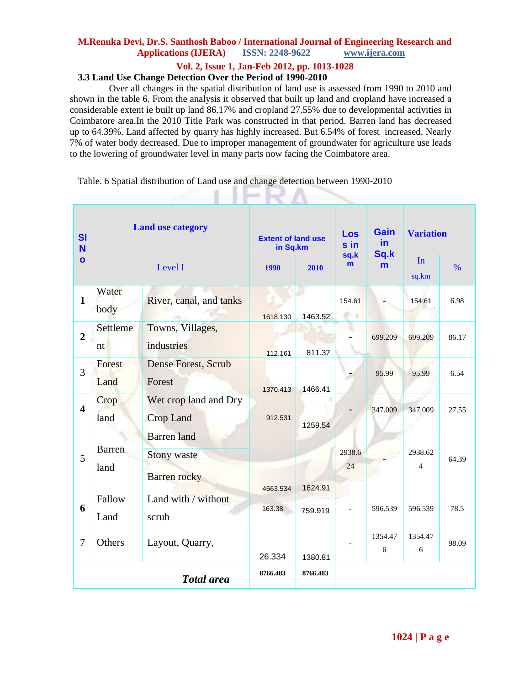## **Vol. 2, Issue 1, Jan-Feb 2012, pp. 1013-1028**

# **3.3 Land Use Change Detection Over the Period of 1990-2010**

Over all changes in the spatial distribution of land use is assessed from 1990 to 2010 and shown in the table 6. From the analysis it observed that built up land and cropland have increased a considerable extent ie built up land 86.17% and cropland 27.55% due to developmental activities in Coimbatore area.In the 2010 Title Park was constructed in that period. Barren land has decreased up to 64.39%. Land affected by quarry has highly increased. But 6.54% of forest increased. Nearly 7% of water body decreased. Due to improper management of groundwater for agriculture use leads to the lowering of groundwater level in many parts now facing the Coimbatore area.

Table. 6 Spatial distribution of Land use and change detection between 1990-2010

 $\sim$   $\sim$   $\sim$   $\sim$   $\sim$ 

| <b>SI</b><br><b>N</b><br>$\mathbf{o}$ | <b>Land use category</b> |                                                                 | <b>Extent of land use</b><br>in Sq.km |          | Los<br>sin<br>sq.k | <b>Gain</b><br>in.<br>Sq.k | <b>Variation</b>          |               |
|---------------------------------------|--------------------------|-----------------------------------------------------------------|---------------------------------------|----------|--------------------|----------------------------|---------------------------|---------------|
|                                       | Level I                  |                                                                 | <b>1990</b>                           | 2010     | m                  | m                          | In<br>sq.km               | $\frac{0}{6}$ |
| $\mathbf{1}$                          | Water<br>body            | River, canal, and tanks                                         | 1618.130                              | 1463.52  | 154.61             |                            | 154.61                    | 6.98          |
| $\overline{2}$                        | Settleme<br>nt           | Towns, Villages,<br>industries                                  | 112.161                               | 811.37   |                    | 699.209                    | 699.209                   | 86.17         |
| $\overline{3}$                        | Forest<br>Land           | Dense Forest, Scrub<br>Forest                                   | 1370.413                              | 1466.41  |                    | 95.99                      | 95.99                     | 6.54          |
| $\overline{\mathbf{4}}$               | Crop<br>land             | Wet crop land and Dry<br><b>Crop Land</b>                       | 912.531                               | 1259.54  |                    | 347.009                    | 347.009                   | 27.55         |
| 5                                     | <b>Barren</b><br>land    | <b>Barren</b> land<br><b>Stony waste</b><br><b>Barren</b> rocky | 4563.534                              | 1624.91  | 2938.6<br>24       |                            | 2938.62<br>$\overline{4}$ | 64.39         |
| 6                                     | Fallow<br>Land           | Land with / without<br>scrub                                    | 163.38                                | 759.919  |                    | 596.539                    | 596.539                   | 78.5          |
| 7                                     | Others                   | Layout, Quarry,                                                 | 26.334                                | 1380.81  |                    | 1354.47<br>6               | 1354.47<br>6              | 98.09         |
|                                       | <b>Total</b> area        |                                                                 |                                       | 8766.483 |                    |                            |                           |               |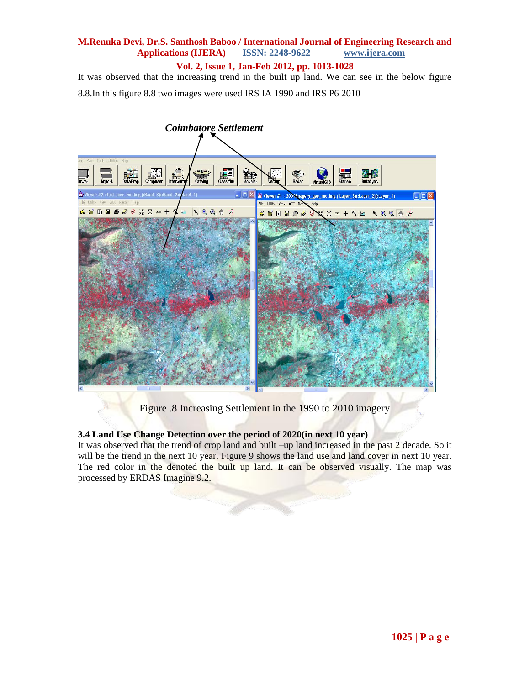**Vol. 2, Issue 1, Jan-Feb 2012, pp. 1013-1028**

It was observed that the increasing trend in the built up land. We can see in the below figure 8.8.In this figure 8.8 two images were used IRS IA 1990 and IRS P6 2010



Figure .8 Increasing Settlement in the 1990 to 2010 imagery

## **3.4 Land Use Change Detection over the period of 2020(in next 10 year)**

It was observed that the trend of crop land and built –up land increased in the past 2 decade. So it will be the trend in the next 10 year. Figure 9 shows the land use and land cover in next 10 year. The red color in the denoted the built up land. It can be observed visually. The map was processed by ERDAS Imagine 9.2.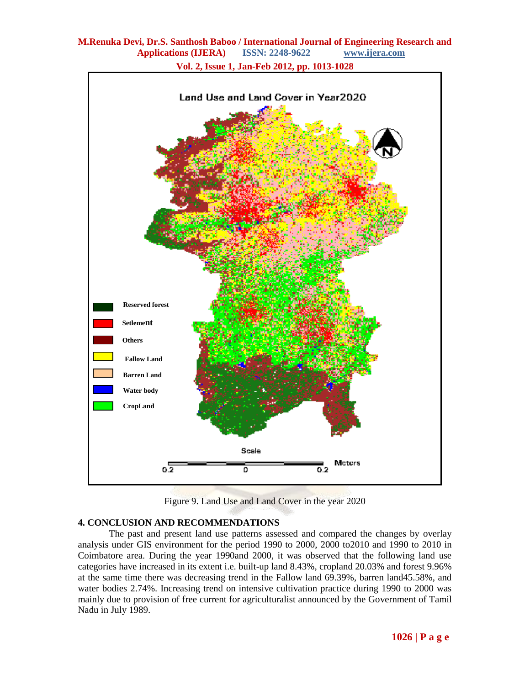

**Vol. 2, Issue 1, Jan-Feb 2012, pp. 1013-1028**

Figure 9. Land Use and Land Cover in the year 2020

# **4. CONCLUSION AND RECOMMENDATIONS**

The past and present land use patterns assessed and compared the changes by overlay analysis under GIS environment for the period 1990 to 2000, 2000 to2010 and 1990 to 2010 in Coimbatore area. During the year 1990and 2000, it was observed that the following land use categories have increased in its extent i.e. built-up land 8.43%, cropland 20.03% and forest 9.96% at the same time there was decreasing trend in the Fallow land 69.39%, barren land45.58%, and water bodies 2.74%. Increasing trend on intensive cultivation practice during 1990 to 2000 was mainly due to provision of free current for agriculturalist announced by the Government of Tamil Nadu in July 1989.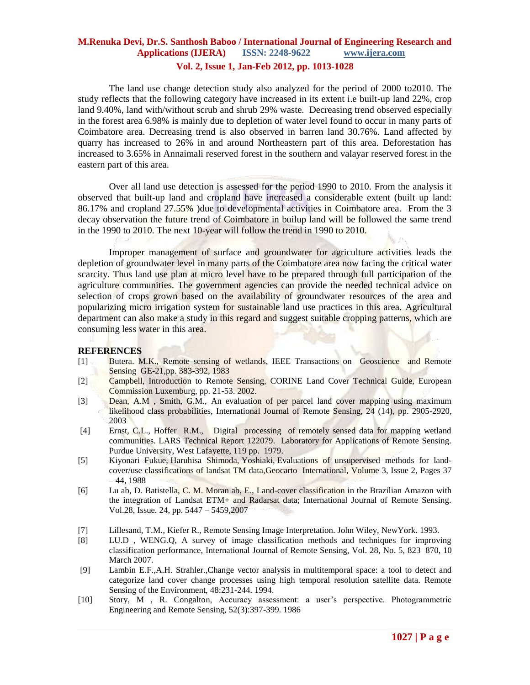## **M.Renuka Devi, Dr.S. Santhosh Baboo / International Journal of Engineering Research and Applications (IJERA) ISSN: 2248-9622 www.ijera.com Vol. 2, Issue 1, Jan-Feb 2012, pp. 1013-1028**

The land use change detection study also analyzed for the period of 2000 to2010. The study reflects that the following category have increased in its extent i.e built-up land 22%, crop land 9.40%, land with/without scrub and shrub 29% waste. Decreasing trend observed especially in the forest area 6.98% is mainly due to depletion of water level found to occur in many parts of Coimbatore area. Decreasing trend is also observed in barren land 30.76%. Land affected by quarry has increased to 26% in and around Northeastern part of this area. Deforestation has increased to 3.65% in Annaimali reserved forest in the southern and valayar reserved forest in the

Over all land use detection is assessed for the period 1990 to 2010. From the analysis it observed that built-up land and cropland have increased a considerable extent (built up land: 86.17% and cropland 27.55% )due to developmental activities in Coimbatore area. From the 3 decay observation the future trend of Coimbatore in builup land will be followed the same trend in the 1990 to 2010. The next 10-year will follow the trend in 1990 to 2010.

Improper management of surface and groundwater for agriculture activities leads the depletion of groundwater level in many parts of the Coimbatore area now facing the critical water scarcity. Thus land use plan at micro level have to be prepared through full participation of the agriculture communities. The government agencies can provide the needed technical advice on selection of crops grown based on the availability of groundwater resources of the area and popularizing micro irrigation system for sustainable land use practices in this area. Agricultural department can also make a study in this regard and suggest suitable cropping patterns, which are consuming less water in this area.

#### **REFERENCES**

eastern part of this area.

- [1] Butera. M.K., Remote sensing of wetlands, IEEE Transactions on Geoscience and Remote Sensing GE-21,pp. 383-392, 1983
- [2] Campbell, Introduction to Remote Sensing, CORINE Land Cover Technical Guide, European Commission Luxemburg, pp. 21-53. 2002.
- [3] Dean, A.M., Smith, G.M., An evaluation of per parcel land cover mapping using maximum likelihood class probabilities, International Journal of Remote Sensing, 24 (14), pp. 2905-2920, 2003
- [4] Ernst, C.L., Hoffer R.M., Digital processing of remotely sensed data for mapping wetland communities. LARS Technical Report 122079. Laboratory for Applications of Remote Sensing. Purdue University, West Lafayette, 119 pp. 1979.
- [5] Kiyonari Fukue, Haruhisa Shimoda, Yoshiaki, Evaluations of unsupervised methods for landcover/use classifications of landsat TM data,Geocarto International, Volume 3, Issue 2, Pages 37  $-44, 1988$
- [6] Lu ab, D. Batistella, C. M. Moran ab, E., Land-cover classification in the Brazilian Amazon with the integration of Landsat ETM+ and Radarsat data; International Journal of Remote Sensing. Vol.28, Issue. 24, pp. 5447 – 5459,2007
- [7] Lillesand, T.M., Kiefer R., Remote Sensing Image Interpretation. John Wiley, NewYork. 1993.
- [8] LU.D , WENG.Q, A survey of image classification methods and techniques for improving classification performance, International Journal of Remote Sensing, Vol. 28, No. 5, 823–870, 10 March 2007.
- [9] Lambin E.F.,A.H. Strahler.,Change vector analysis in multitemporal space: a tool to detect and categorize land cover change processes using high temporal resolution satellite data. Remote Sensing of the Environment, 48:231-244. 1994.
- [10] Story, M , R. Congalton, Accuracy assessment: a user's perspective. Photogrammetric Engineering and Remote Sensing, 52(3):397-399. 1986